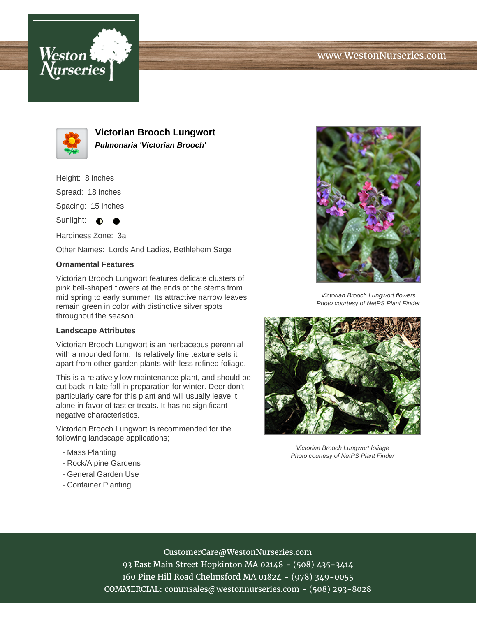



**Victorian Brooch Lungwort Pulmonaria 'Victorian Brooch'**

Height: 8 inches

Spread: 18 inches

Spacing: 15 inches

Sunlight:  $\bullet$  $\bullet$ 

Hardiness Zone: 3a

Other Names: Lords And Ladies, Bethlehem Sage

## **Ornamental Features**

Victorian Brooch Lungwort features delicate clusters of pink bell-shaped flowers at the ends of the stems from mid spring to early summer. Its attractive narrow leaves remain green in color with distinctive silver spots throughout the season.

## **Landscape Attributes**

Victorian Brooch Lungwort is an herbaceous perennial with a mounded form. Its relatively fine texture sets it apart from other garden plants with less refined foliage.

This is a relatively low maintenance plant, and should be cut back in late fall in preparation for winter. Deer don't particularly care for this plant and will usually leave it alone in favor of tastier treats. It has no significant negative characteristics.

Victorian Brooch Lungwort is recommended for the following landscape applications;

- Mass Planting
- Rock/Alpine Gardens
- General Garden Use
- Container Planting



Victorian Brooch Lungwort flowers Photo courtesy of NetPS Plant Finder



Victorian Brooch Lungwort foliage Photo courtesy of NetPS Plant Finder

## CustomerCare@WestonNurseries.com

93 East Main Street Hopkinton MA 02148 - (508) 435-3414 160 Pine Hill Road Chelmsford MA 01824 - (978) 349-0055 COMMERCIAL: commsales@westonnurseries.com - (508) 293-8028